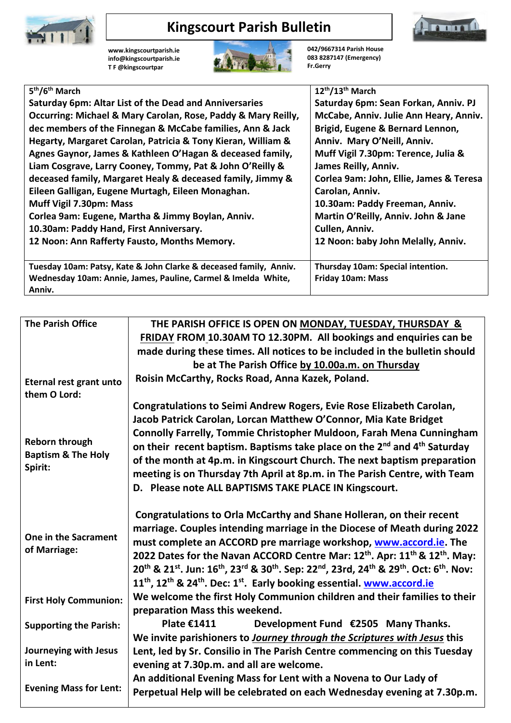

## **Kingscourt Parish Bulletin**

**[www.kingscourtparish.ie](http://www.kingscourtparish.ie/) info@kingscourtparish.ie T F @kingscourtpar** 



**042/9667314 Parish House 083 8287147 (Emergency) Fr.Gerry**

| 5 <sup>th</sup> /6 <sup>th</sup> March                            | 12 <sup>th</sup> /13 <sup>th</sup> March |
|-------------------------------------------------------------------|------------------------------------------|
| <b>Saturday 6pm: Altar List of the Dead and Anniversaries</b>     | Saturday 6pm: Sean Forkan, Anniv. PJ     |
| Occurring: Michael & Mary Carolan, Rose, Paddy & Mary Reilly,     | McCabe, Anniv. Julie Ann Heary, Anniv.   |
| dec members of the Finnegan & McCabe families, Ann & Jack         | Brigid, Eugene & Bernard Lennon,         |
| Hegarty, Margaret Carolan, Patricia & Tony Kieran, William &      | Anniv. Mary O'Neill, Anniv.              |
| Agnes Gaynor, James & Kathleen O'Hagan & deceased family,         | Muff Vigil 7.30pm: Terence, Julia &      |
| Liam Cosgrave, Larry Cooney, Tommy, Pat & John O'Reilly &         | James Reilly, Anniv.                     |
| deceased family, Margaret Healy & deceased family, Jimmy &        | Corlea 9am: John, Ellie, James & Teresa  |
| Eileen Galligan, Eugene Murtagh, Eileen Monaghan.                 | Carolan, Anniv.                          |
| Muff Vigil 7.30pm: Mass                                           | 10.30am: Paddy Freeman, Anniv.           |
| Corlea 9am: Eugene, Martha & Jimmy Boylan, Anniv.                 | Martin O'Reilly, Anniv. John & Jane      |
| 10.30am: Paddy Hand, First Anniversary.                           | Cullen, Anniv.                           |
| 12 Noon: Ann Rafferty Fausto, Months Memory.                      | 12 Noon: baby John Melally, Anniv.       |
|                                                                   |                                          |
| Tuesday 10am: Patsy, Kate & John Clarke & deceased family, Anniv. | Thursday 10am: Special intention.        |
| Wednesday 10am: Annie, James, Pauline, Carmel & Imelda White,     | Friday 10am: Mass                        |
| Anniv.                                                            |                                          |

| <b>The Parish Office</b>                 | THE PARISH OFFICE IS OPEN ON MONDAY, TUESDAY, THURSDAY &                                                                                                                                                                                                                                                              |  |
|------------------------------------------|-----------------------------------------------------------------------------------------------------------------------------------------------------------------------------------------------------------------------------------------------------------------------------------------------------------------------|--|
|                                          | FRIDAY FROM 10.30AM TO 12.30PM. All bookings and enquiries can be                                                                                                                                                                                                                                                     |  |
|                                          | made during these times. All notices to be included in the bulletin should                                                                                                                                                                                                                                            |  |
|                                          | be at The Parish Office by 10.00a.m. on Thursday                                                                                                                                                                                                                                                                      |  |
| Eternal rest grant unto                  | Roisin McCarthy, Rocks Road, Anna Kazek, Poland.                                                                                                                                                                                                                                                                      |  |
| them O Lord:                             |                                                                                                                                                                                                                                                                                                                       |  |
|                                          | Congratulations to Seimi Andrew Rogers, Evie Rose Elizabeth Carolan,                                                                                                                                                                                                                                                  |  |
|                                          | Jacob Patrick Carolan, Lorcan Matthew O'Connor, Mia Kate Bridget                                                                                                                                                                                                                                                      |  |
|                                          | <b>Connolly Farrelly, Tommie Christopher Muldoon, Farah Mena Cunningham</b>                                                                                                                                                                                                                                           |  |
| <b>Reborn through</b>                    | on their recent baptism. Baptisms take place on the 2 <sup>nd</sup> and 4 <sup>th</sup> Saturday                                                                                                                                                                                                                      |  |
| <b>Baptism &amp; The Holy</b><br>Spirit: | of the month at 4p.m. in Kingscourt Church. The next baptism preparation                                                                                                                                                                                                                                              |  |
|                                          | meeting is on Thursday 7th April at 8p.m. in The Parish Centre, with Team                                                                                                                                                                                                                                             |  |
|                                          | D. Please note ALL BAPTISMS TAKE PLACE IN Kingscourt.                                                                                                                                                                                                                                                                 |  |
|                                          |                                                                                                                                                                                                                                                                                                                       |  |
|                                          | Congratulations to Orla McCarthy and Shane Holleran, on their recent                                                                                                                                                                                                                                                  |  |
| One in the Sacrament                     | marriage. Couples intending marriage in the Diocese of Meath during 2022                                                                                                                                                                                                                                              |  |
| of Marriage:                             | must complete an ACCORD pre marriage workshop, www.accord.ie. The                                                                                                                                                                                                                                                     |  |
|                                          | 2022 Dates for the Navan ACCORD Centre Mar: 12 <sup>th</sup> . Apr: 11 <sup>th</sup> & 12 <sup>th</sup> . May:<br>20 <sup>th</sup> & 21 <sup>st</sup> . Jun: 16 <sup>th</sup> , 23 <sup>rd</sup> & 30 <sup>th</sup> . Sep: 22 <sup>nd</sup> , 23rd, 24 <sup>th</sup> & 29 <sup>th</sup> . Oct: 6 <sup>th</sup> . Nov: |  |
|                                          |                                                                                                                                                                                                                                                                                                                       |  |
|                                          | 11 <sup>th</sup> , 12 <sup>th</sup> & 24 <sup>th</sup> . Dec: 1 <sup>st</sup> . Early booking essential. www.accord.ie                                                                                                                                                                                                |  |
| <b>First Holy Communion:</b>             | We welcome the first Holy Communion children and their families to their                                                                                                                                                                                                                                              |  |
|                                          | preparation Mass this weekend.                                                                                                                                                                                                                                                                                        |  |
| <b>Supporting the Parish:</b>            | <b>Plate €1411</b><br>Development Fund €2505 Many Thanks.                                                                                                                                                                                                                                                             |  |
|                                          | We invite parishioners to <b>Journey through the Scriptures with Jesus</b> this                                                                                                                                                                                                                                       |  |
| Journeying with Jesus                    | Lent, led by Sr. Consilio in The Parish Centre commencing on this Tuesday                                                                                                                                                                                                                                             |  |
| in Lent:                                 | evening at 7.30p.m. and all are welcome.                                                                                                                                                                                                                                                                              |  |
|                                          | An additional Evening Mass for Lent with a Novena to Our Lady of                                                                                                                                                                                                                                                      |  |
| <b>Evening Mass for Lent:</b>            | Perpetual Help will be celebrated on each Wednesday evening at 7.30p.m.                                                                                                                                                                                                                                               |  |
|                                          |                                                                                                                                                                                                                                                                                                                       |  |